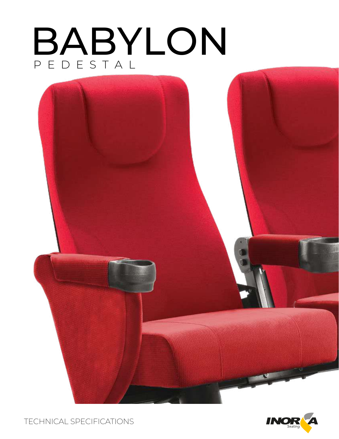# BABYLON PEDESTAL





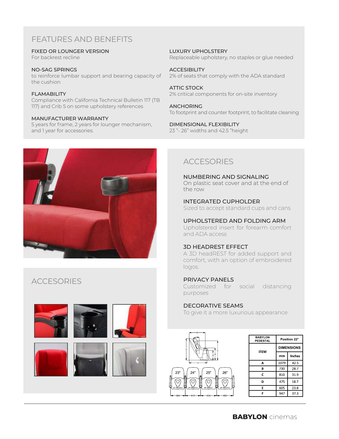# FEATURES AND BENEFITS

FIXED OR LOUNGER VERSION

For backrest recline

NO-SAG SPRINGS to reinforce lumbar support and bearing capacity of the cushion

**FI AMABILITY** Compliance with California Technical Bulletin 117 (TB 117) and Crib 5 on some upholstery references

#### MANUFACTURER WARRANTY

5 years for frame, 2 years for lounger mechanism, and 1 year for accessories.



# **ACCESORIES**











LUXURY UPHOLSTERY Replaceable upholstery, no staples or glue needed

**ACCESIBILITY** 2% of seats that comply with the ADA standard

ATTIC STOCK 2% critical components for on-site inventory

ANCHORING To footprint and counter footprint, to facilitate cleaning

DIMENSIONAL FLEXIBILITY 23 "- 26" widths and 42.5 "height

# ACCESORIES

NUMBERING AND SIGNALING On plastic seat cover and at the end of the row

INTEGRATED CUPHOLDER Sized to accept standard cups and cans

UPHOLSTERED AND FOLDING ARM

Upholstered insert for forearm comfort and ADA access

## 3D HEADREST EFFECT

A 3D headREST for added support and comfort, with an option of embroidered logos.

## PRIVACY PANELS

Customized for social distancing purposes

## DECORATIVE SEAMS

To give it a more luxurious appearance



| <b>BABYLON</b><br><b>PEDESTAL</b> | Position 22°      |               |
|-----------------------------------|-------------------|---------------|
| <b>ITEM</b>                       | <b>DIMENSIONS</b> |               |
|                                   | mm                | <b>Inches</b> |
| А                                 | 1079              | 42.5          |
| B                                 | 730               | 28.7          |
| C                                 | 810               | 31.9          |
| D                                 | 475               | 18.7          |
| E                                 | 605               | 23.8          |
| F                                 | 947               | 37.3          |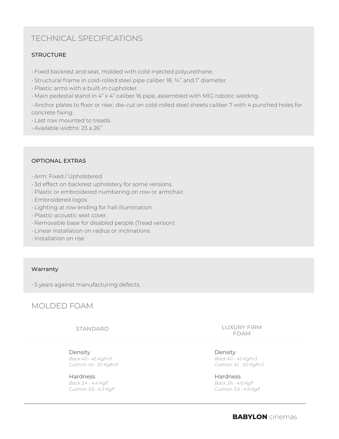# TECHNICAL SPECIFICATIONS

## **STRUCTURE**

- Fixed backrest and seat, molded with cold-injected polyurethane.
- Structural frame in cold-rolled steel pipe caliber 18, ¾" and 1" diameter.
- Plastic arms with a built-in cupholder.
- Main pedestal stand in 4" x 4" caliber 16 pipe, assembled with MIG robotic welding.

• Anchor plates to floor or riser, die-cut on cold-rolled steel sheets caliber 7 with 4 punched holes for concrete fixing.

- Last row mounted to treads.
- Available widths: 23 a 26"

#### OPTIONAL EXTRAS

- Arm: Fixed / Upholstered
- 3d effect on backrest upholstery for some versions.
- Plastic or embroidered numbering on row or armchair.
- Embroidered logos
- Lighting at row ending for hall illumination
- Plastic-acoustic seat cover.
- Removable base for disabled people (Tread version)
- Linear installation on radius or inclinations
- Installation on rise

#### Warranty

• 5 years against manufacturing defects.

# MOLDED FOAM

STANDARD

Density *Back 40 - 45 Kg/m3 Cushion 45 - 50 Kg/m3*

Hardness *Back 3.4 - 4.4 Kg/f Cushion 3.9 - 4.3 Kg/f* LUXURY FIRM FOAM

Density *Back 40 - 45 Kg/m3 Cushion 45 - 50 Kg/m3*

Hardness *Back 3.6 - 4.6 Kg/f Cushion 3.9 - 4.9 Kg/f*